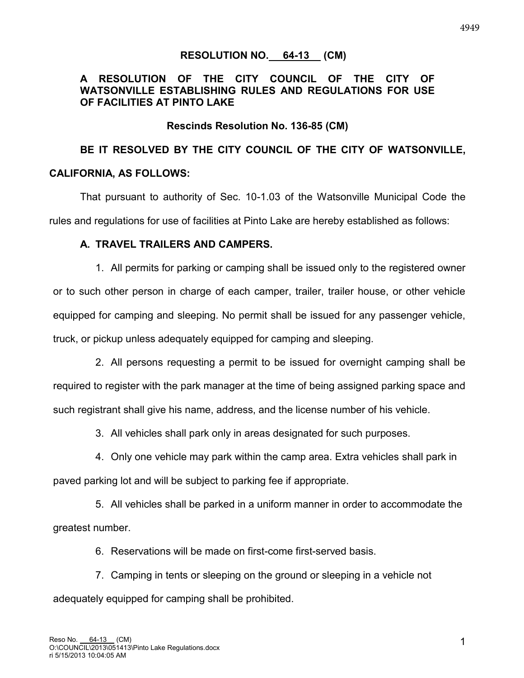### **RESOLUTION NO. 64-13 (CM)**

### **A RESOLUTION OF THE CITY COUNCIL OF THE CITY OF WATSONVILLE ESTABLISHING RULES AND REGULATIONS FOR USE OF FACILITIES AT PINTO LAKE**

### **Rescinds Resolution No. 136-85 (CM)**

# **BE IT RESOLVED BY THE CITY COUNCIL OF THE CITY OF WATSONVILLE, CALIFORNIA, AS FOLLOWS:**

That pursuant to authority of Sec. 10-1.03 of the Watsonville Municipal Code the rules and regulations for use of facilities at Pinto Lake are hereby established as follows:

#### **A. TRAVEL TRAILERS AND CAMPERS.**

1. All permits for parking or camping shall be issued only to the registered owner or to such other person in charge of each camper, trailer, trailer house, or other vehicle equipped for camping and sleeping. No permit shall be issued for any passenger vehicle, truck, or pickup unless adequately equipped for camping and sleeping.

2. All persons requesting a permit to be issued for overnight camping shall be required to register with the park manager at the time of being assigned parking space and such registrant shall give his name, address, and the license number of his vehicle.

3. All vehicles shall park only in areas designated for such purposes.

4. Only one vehicle may park within the camp area. Extra vehicles shall park in paved parking lot and will be subject to parking fee if appropriate.

5. All vehicles shall be parked in a uniform manner in order to accommodate the greatest number.

6. Reservations will be made on first-come first-served basis.

7. Camping in tents or sleeping on the ground or sleeping in a vehicle not adequately equipped for camping shall be prohibited.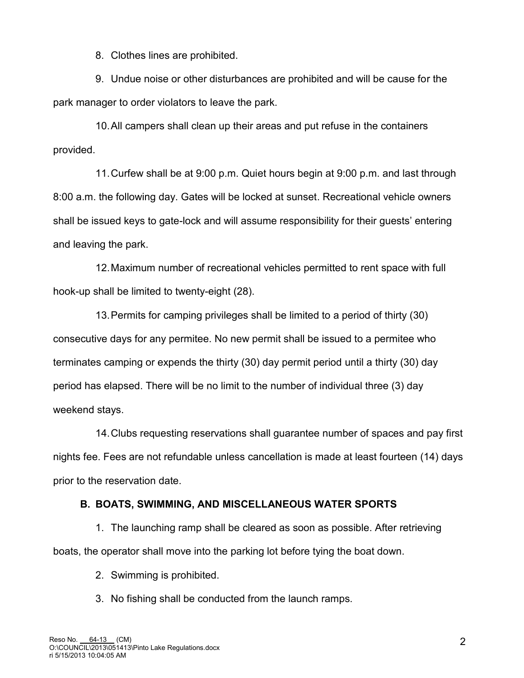8. Clothes lines are prohibited.

9. Undue noise or other disturbances are prohibited and will be cause for the park manager to order violators to leave the park.

10. All campers shall clean up their areas and put refuse in the containers provided.

11. Curfew shall be at 9:00 p.m. Quiet hours begin at 9:00 p.m. and last through 8:00 a.m. the following day. Gates will be locked at sunset. Recreational vehicle owners shall be issued keys to gate-lock and will assume responsibility for their guests' entering and leaving the park.

12. Maximum number of recreational vehicles permitted to rent space with full hook-up shall be limited to twenty-eight (28).

13. Permits for camping privileges shall be limited to a period of thirty (30) consecutive days for any permitee. No new permit shall be issued to a permitee who terminates camping or expends the thirty (30) day permit period until a thirty (30) day period has elapsed. There will be no limit to the number of individual three (3) day weekend stays.

14. Clubs requesting reservations shall guarantee number of spaces and pay first nights fee. Fees are not refundable unless cancellation is made at least fourteen (14) days prior to the reservation date.

### **B. BOATS, SWIMMING, AND MISCELLANEOUS WATER SPORTS**

1. The launching ramp shall be cleared as soon as possible. After retrieving boats, the operator shall move into the parking lot before tying the boat down.

- 2. Swimming is prohibited.
- 3. No fishing shall be conducted from the launch ramps.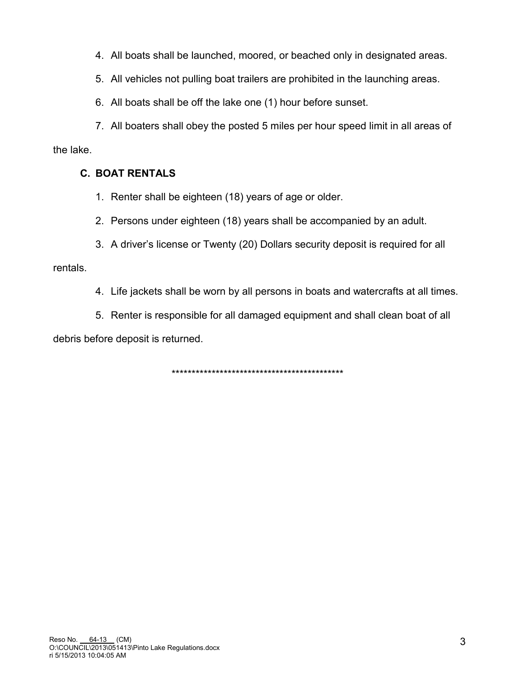4. All boats shall be launched, moored, or beached only in designated areas.

5. All vehicles not pulling boat trailers are prohibited in the launching areas.

6. All boats shall be off the lake one (1) hour before sunset.

7. All boaters shall obey the posted 5 miles per hour speed limit in all areas of the lake.

## **C. BOAT RENTALS**

- 1. Renter shall be eighteen (18) years of age or older.
- 2. Persons under eighteen (18) years shall be accompanied by an adult.
- 3. A driver's license or Twenty (20) Dollars security deposit is required for all

rentals.

- 4. Life jackets shall be worn by all persons in boats and watercrafts at all times.
- 5. Renter is responsible for all damaged equipment and shall clean boat of all

debris before deposit is returned.

\*\*\*\*\*\*\*\*\*\*\*\*\*\*\*\*\*\*\*\*\*\*\*\*\*\*\*\*\*\*\*\*\*\*\*\*\*\*\*\*\*\*\*